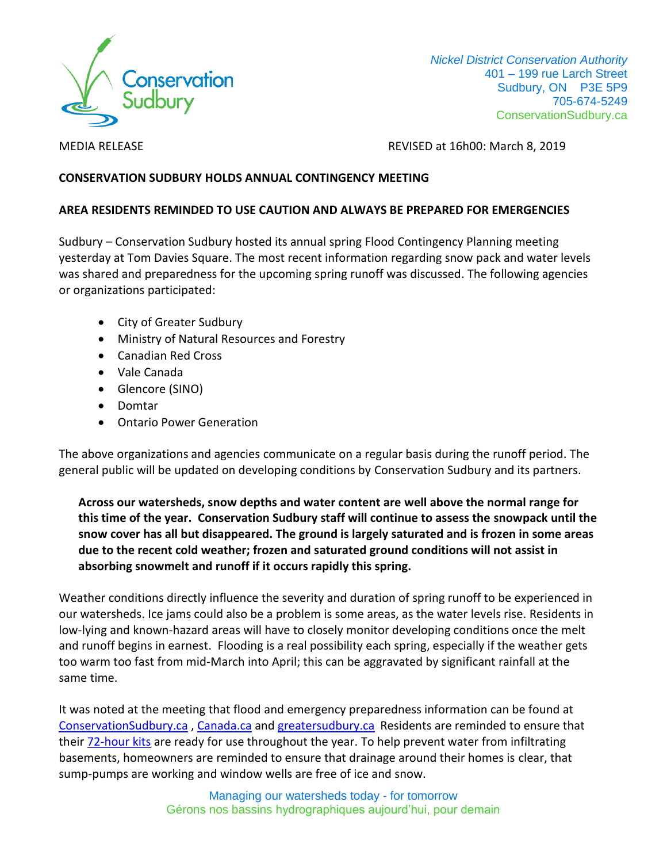

 *Nickel District Conservation Authority* 401 – 199 rue Larch Street Sudbury, ON P3E 5P9 705-674-5249 ConservationSudbury.ca

MEDIA RELEASEREVISED at 16h00: March 8, 2019

## **CONSERVATION SUDBURY HOLDS ANNUAL CONTINGENCY MEETING**

## **AREA RESIDENTS REMINDED TO USE CAUTION AND ALWAYS BE PREPARED FOR EMERGENCIES**

Sudbury – Conservation Sudbury hosted its annual spring Flood Contingency Planning meeting yesterday at Tom Davies Square. The most recent information regarding snow pack and water levels was shared and preparedness for the upcoming spring runoff was discussed. The following agencies or organizations participated:

- City of Greater Sudbury
- Ministry of Natural Resources and Forestry
- Canadian Red Cross
- Vale Canada
- Glencore (SINO)
- Domtar
- Ontario Power Generation

The above organizations and agencies communicate on a regular basis during the runoff period. The general public will be updated on developing conditions by Conservation Sudbury and its partners.

## **Across our watersheds, snow depths and water content are well above the normal range for this time of the year. Conservation Sudbury staff will continue to assess the snowpack until the snow cover has all but disappeared. The ground is largely saturated and is frozen in some areas due to the recent cold weather; frozen and saturated ground conditions will not assist in absorbing snowmelt and runoff if it occurs rapidly this spring.**

Weather conditions directly influence the severity and duration of spring runoff to be experienced in our watersheds. Ice jams could also be a problem is some areas, as the water levels rise. Residents in low-lying and known-hazard areas will have to closely monitor developing conditions once the melt and runoff begins in earnest. Flooding is a real possibility each spring, especially if the weather gets too warm too fast from mid-March into April; this can be aggravated by significant rainfall at the same time.

It was noted at the meeting that flood and emergency preparedness information can be found at [ConservationSudbury.ca](https://conservationsudbury.ca/en/flood-preparedness-information.html) , [Canada.ca](https://www.canada.ca/en/campaign/flood-ready.html) and [greatersudbury.ca](https://www.greatersudbury.ca/live/emergency-services/emergency-management/prepare-for-an-emergency/) Residents are reminded to ensure that their **72-hour kits** are ready for use throughout the year. To help prevent water from infiltrating basements, homeowners are reminded to ensure that drainage around their homes is clear, that sump-pumps are working and window wells are free of ice and snow.

> Managing our watersheds today - for tomorrow Gérons nos bassins hydrographiques aujourd'hui, pour demain